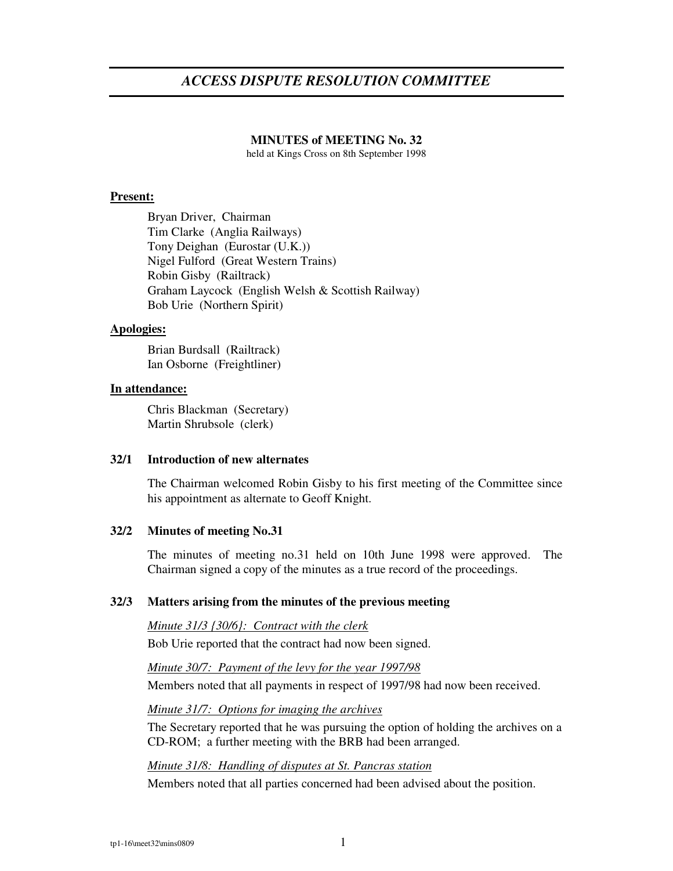# *ACCESS DISPUTE RESOLUTION COMMITTEE*

## **MINUTES of MEETING No. 32**

held at Kings Cross on 8th September 1998

## **Present:**

Bryan Driver, Chairman Tim Clarke (Anglia Railways) Tony Deighan (Eurostar (U.K.)) Nigel Fulford (Great Western Trains) Robin Gisby (Railtrack) Graham Laycock (English Welsh & Scottish Railway) Bob Urie (Northern Spirit)

## **Apologies:**

Brian Burdsall (Railtrack) Ian Osborne (Freightliner)

## **In attendance:**

Chris Blackman (Secretary) Martin Shrubsole (clerk)

## **32/1 Introduction of new alternates**

The Chairman welcomed Robin Gisby to his first meeting of the Committee since his appointment as alternate to Geoff Knight.

## **32/2 Minutes of meeting No.31**

The minutes of meeting no.31 held on 10th June 1998 were approved. The Chairman signed a copy of the minutes as a true record of the proceedings.

## **32/3 Matters arising from the minutes of the previous meeting**

*Minute 31/3 {30/6}: Contract with the clerk* Bob Urie reported that the contract had now been signed.

*Minute 30/7: Payment of the levy for the year 1997/98* Members noted that all payments in respect of 1997/98 had now been received.

*Minute 31/7: Options for imaging the archives*

The Secretary reported that he was pursuing the option of holding the archives on a CD-ROM; a further meeting with the BRB had been arranged.

## *Minute 31/8: Handling of disputes at St. Pancras station*

Members noted that all parties concerned had been advised about the position.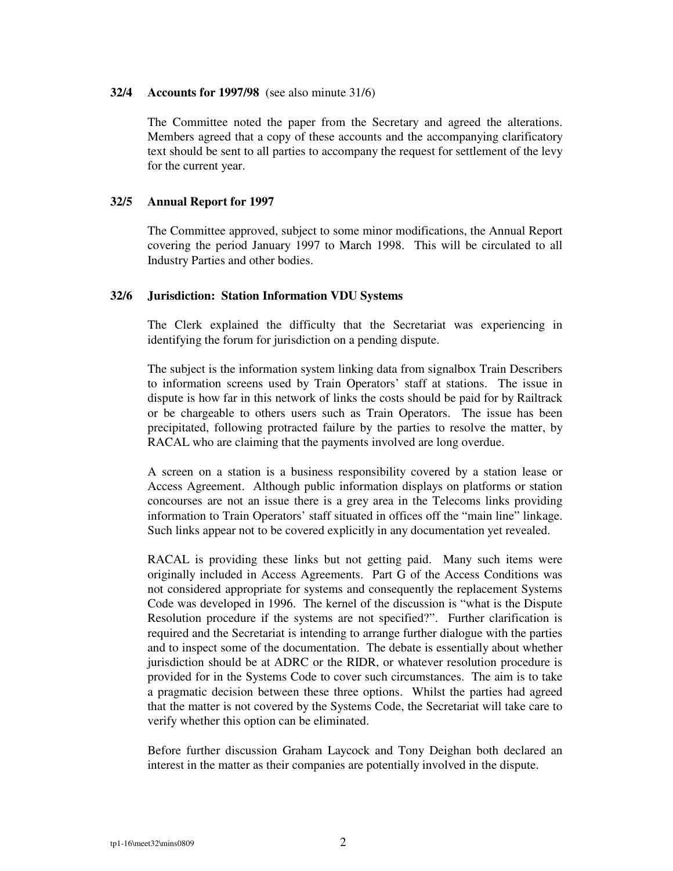### **32/4 Accounts for 1997/98** (see also minute 31/6)

The Committee noted the paper from the Secretary and agreed the alterations. Members agreed that a copy of these accounts and the accompanying clarificatory text should be sent to all parties to accompany the request for settlement of the levy for the current year.

## **32/5 Annual Report for 1997**

The Committee approved, subject to some minor modifications, the Annual Report covering the period January 1997 to March 1998. This will be circulated to all Industry Parties and other bodies.

## **32/6 Jurisdiction: Station Information VDU Systems**

The Clerk explained the difficulty that the Secretariat was experiencing in identifying the forum for jurisdiction on a pending dispute.

The subject is the information system linking data from signalbox Train Describers to information screens used by Train Operators' staff at stations. The issue in dispute is how far in this network of links the costs should be paid for by Railtrack or be chargeable to others users such as Train Operators. The issue has been precipitated, following protracted failure by the parties to resolve the matter, by RACAL who are claiming that the payments involved are long overdue.

A screen on a station is a business responsibility covered by a station lease or Access Agreement. Although public information displays on platforms or station concourses are not an issue there is a grey area in the Telecoms links providing information to Train Operators' staff situated in offices off the "main line" linkage. Such links appear not to be covered explicitly in any documentation yet revealed.

RACAL is providing these links but not getting paid. Many such items were originally included in Access Agreements. Part G of the Access Conditions was not considered appropriate for systems and consequently the replacement Systems Code was developed in 1996. The kernel of the discussion is "what is the Dispute Resolution procedure if the systems are not specified?". Further clarification is required and the Secretariat is intending to arrange further dialogue with the parties and to inspect some of the documentation. The debate is essentially about whether jurisdiction should be at ADRC or the RIDR, or whatever resolution procedure is provided for in the Systems Code to cover such circumstances. The aim is to take a pragmatic decision between these three options. Whilst the parties had agreed that the matter is not covered by the Systems Code, the Secretariat will take care to verify whether this option can be eliminated.

Before further discussion Graham Laycock and Tony Deighan both declared an interest in the matter as their companies are potentially involved in the dispute.